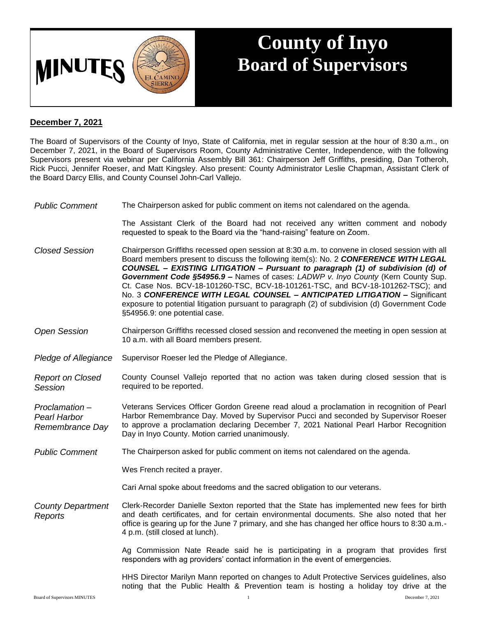

## **County of Inyo Board of Supervisors**

## **December 7, 2021**

The Board of Supervisors of the County of Inyo, State of California, met in regular session at the hour of 8:30 a.m., on December 7, 2021, in the Board of Supervisors Room, County Administrative Center, Independence, with the following Supervisors present via webinar per California Assembly Bill 361: Chairperson Jeff Griffiths, presiding, Dan Totheroh, Rick Pucci, Jennifer Roeser, and Matt Kingsley. Also present: County Administrator Leslie Chapman, Assistant Clerk of the Board Darcy Ellis, and County Counsel John-Carl Vallejo.

*Public Comment* The Chairperson asked for public comment on items not calendared on the agenda.

The Assistant Clerk of the Board had not received any written comment and nobody requested to speak to the Board via the "hand-raising" feature on Zoom.

*Closed Session* Chairperson Griffiths recessed open session at 8:30 a.m. to convene in closed session with all Board members present to discuss the following item(s): No. 2 *CONFERENCE WITH LEGAL COUNSEL – EXISTING LITIGATION – Pursuant to paragraph (1) of subdivision (d) of Government Code §54956.9 –* Names of cases: *LADWP v. Inyo County* (Kern County Sup. Ct. Case Nos. BCV-18-101260-TSC, BCV-18-101261-TSC, and BCV-18-101262-TSC); and No. 3 *CONFERENCE WITH LEGAL COUNSEL – ANTICIPATED LITIGATION –* Significant exposure to potential litigation pursuant to paragraph (2) of subdivision (d) Government Code §54956.9: one potential case.

- *Open Session* Chairperson Griffiths recessed closed session and reconvened the meeting in open session at 10 a.m. with all Board members present.
- *Pledge of Allegiance* Supervisor Roeser led the Pledge of Allegiance.

*Report on Closed Session* County Counsel Vallejo reported that no action was taken during closed session that is required to be reported.

*Proclamation – Pearl Harbor Remembrance Day* Veterans Services Officer Gordon Greene read aloud a proclamation in recognition of Pearl Harbor Remembrance Day. Moved by Supervisor Pucci and seconded by Supervisor Roeser to approve a proclamation declaring December 7, 2021 National Pearl Harbor Recognition Day in Inyo County. Motion carried unanimously.

*Public Comment* The Chairperson asked for public comment on items not calendared on the agenda.

Wes French recited a prayer.

Cari Arnal spoke about freedoms and the sacred obligation to our veterans.

*County Department Reports* Clerk-Recorder Danielle Sexton reported that the State has implemented new fees for birth and death certificates, and for certain environmental documents. She also noted that her office is gearing up for the June 7 primary, and she has changed her office hours to 8:30 a.m.- 4 p.m. (still closed at lunch).

> Ag Commission Nate Reade said he is participating in a program that provides first responders with ag providers' contact information in the event of emergencies.

> HHS Director Marilyn Mann reported on changes to Adult Protective Services guidelines, also noting that the Public Health & Prevention team is hosting a holiday toy drive at the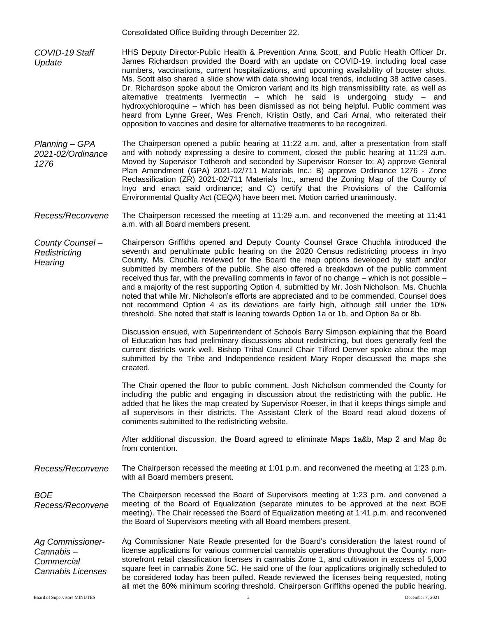Consolidated Office Building through December 22.

- *COVID-19 Staff Update* HHS Deputy Director-Public Health & Prevention Anna Scott, and Public Health Officer Dr. James Richardson provided the Board with an update on COVID-19, including local case numbers, vaccinations, current hospitalizations, and upcoming availability of booster shots. Ms. Scott also shared a slide show with data showing local trends, including 38 active cases. Dr. Richardson spoke about the Omicron variant and its high transmissibility rate, as well as alternative treatments Ivermectin – which he said is undergoing study – and hydroxychloroquine – which has been dismissed as not being helpful. Public comment was heard from Lynne Greer, Wes French, Kristin Ostly, and Cari Arnal, who reiterated their opposition to vaccines and desire for alternative treatments to be recognized.
- *Planning – GPA 2021-02/Ordinance 1276* The Chairperson opened a public hearing at 11:22 a.m. and, after a presentation from staff and with nobody expressing a desire to comment, closed the public hearing at 11:29 a.m. Moved by Supervisor Totheroh and seconded by Supervisor Roeser to: A) approve General Plan Amendment (GPA) 2021-02/711 Materials Inc.; B) approve Ordinance 1276 - Zone Reclassification (ZR) 2021-02/711 Materials Inc., amend the Zoning Map of the County of Inyo and enact said ordinance; and C) certify that the Provisions of the California Environmental Quality Act (CEQA) have been met. Motion carried unanimously.
- *Recess/Reconvene* The Chairperson recessed the meeting at 11:29 a.m. and reconvened the meeting at 11:41 a.m. with all Board members present.
- *County Counsel – Redistricting Hearing* Chairperson Griffiths opened and Deputy County Counsel Grace Chuchla introduced the seventh and penultimate public hearing on the 2020 Census redistricting process in lnyo County. Ms. Chuchla reviewed for the Board the map options developed by staff and/or submitted by members of the public. She also offered a breakdown of the public comment received thus far, with the prevailing comments in favor of no change – which is not possible – and a majority of the rest supporting Option 4, submitted by Mr. Josh Nicholson. Ms. Chuchla noted that while Mr. Nicholson's efforts are appreciated and to be commended, Counsel does not recommend Option 4 as its deviations are fairly high, although still under the 10% threshold. She noted that staff is leaning towards Option 1a or 1b, and Option 8a or 8b.

Discussion ensued, with Superintendent of Schools Barry Simpson explaining that the Board of Education has had preliminary discussions about redistricting, but does generally feel the current districts work well. Bishop Tribal Council Chair Tilford Denver spoke about the map submitted by the Tribe and Independence resident Mary Roper discussed the maps she created.

The Chair opened the floor to public comment. Josh Nicholson commended the County for including the public and engaging in discussion about the redistricting with the public. He added that he likes the map created by Supervisor Roeser, in that it keeps things simple and all supervisors in their districts. The Assistant Clerk of the Board read aloud dozens of comments submitted to the redistricting website.

After additional discussion, the Board agreed to eliminate Maps 1a&b, Map 2 and Map 8c from contention.

*Recess/Reconvene* The Chairperson recessed the meeting at 1:01 p.m. and reconvened the meeting at 1:23 p.m. with all Board members present.

*BOE Recess/Reconvene* The Chairperson recessed the Board of Supervisors meeting at 1:23 p.m. and convened a meeting of the Board of Equalization (separate minutes to be approved at the next BOE meeting). The Chair recessed the Board of Equalization meeting at 1:41 p.m. and reconvened the Board of Supervisors meeting with all Board members present.

*Ag Commissioner-Cannabis – Commercial Cannabis Licenses* Ag Commissioner Nate Reade presented for the Board's consideration the latest round of license applications for various commercial cannabis operations throughout the County: nonstorefront retail classification licenses in cannabis Zone 1, and cultivation in excess of 5,000 square feet in cannabis Zone 5C. He said one of the four applications originally scheduled to be considered today has been pulled. Reade reviewed the licenses being requested, noting all met the 80% minimum scoring threshold. Chairperson Griffiths opened the public hearing,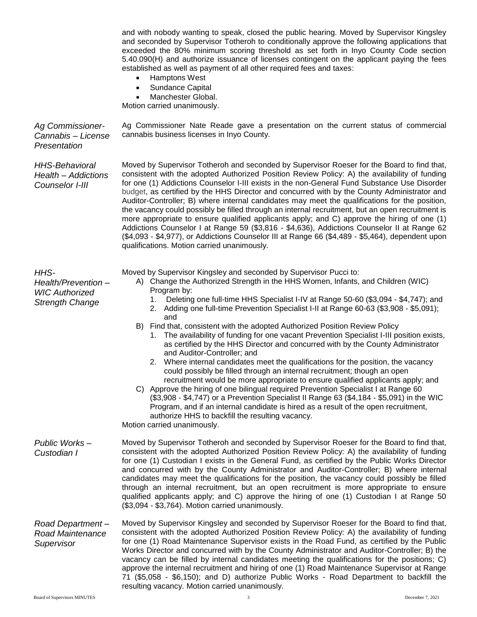|                                                                               | and with nobody wanting to speak, closed the public hearing. Moved by Supervisor Kingsley<br>and seconded by Supervisor Totheroh to conditionally approve the following applications that<br>exceeded the 80% minimum scoring threshold as set forth in Inyo County Code section<br>5.40.090(H) and authorize issuance of licenses contingent on the applicant paying the fees<br>established as well as payment of all other required fees and taxes:<br>Hamptons West<br>Sundance Capital<br>$\bullet$<br>Manchester Global.<br>Motion carried unanimously.                                                                                                                                                                                                                                                                                                                                                                                                                                                                                                                                                                                                                                                                                                                      |
|-------------------------------------------------------------------------------|------------------------------------------------------------------------------------------------------------------------------------------------------------------------------------------------------------------------------------------------------------------------------------------------------------------------------------------------------------------------------------------------------------------------------------------------------------------------------------------------------------------------------------------------------------------------------------------------------------------------------------------------------------------------------------------------------------------------------------------------------------------------------------------------------------------------------------------------------------------------------------------------------------------------------------------------------------------------------------------------------------------------------------------------------------------------------------------------------------------------------------------------------------------------------------------------------------------------------------------------------------------------------------|
| Ag Commissioner-<br>Cannabis - License<br>Presentation                        | Ag Commissioner Nate Reade gave a presentation on the current status of commercial<br>cannabis business licenses in Inyo County.                                                                                                                                                                                                                                                                                                                                                                                                                                                                                                                                                                                                                                                                                                                                                                                                                                                                                                                                                                                                                                                                                                                                                   |
| <b>HHS-Behavioral</b><br>Health - Addictions<br>Counselor I-III               | Moved by Supervisor Totheroh and seconded by Supervisor Roeser for the Board to find that,<br>consistent with the adopted Authorized Position Review Policy: A) the availability of funding<br>for one (1) Addictions Counselor I-III exists in the non-General Fund Substance Use Disorder<br>budget, as certified by the HHS Director and concurred with by the County Administrator and<br>Auditor-Controller; B) where internal candidates may meet the qualifications for the position,<br>the vacancy could possibly be filled through an internal recruitment, but an open recruitment is<br>more appropriate to ensure qualified applicants apply; and C) approve the hiring of one (1)<br>Addictions Counselor I at Range 59 (\$3,816 - \$4,636), Addictions Counselor II at Range 62<br>(\$4,093 - \$4,977), or Addictions Counselor III at Range 66 (\$4,489 - \$5,464), dependent upon<br>qualifications. Motion carried unanimously.                                                                                                                                                                                                                                                                                                                                  |
| HHS-<br>Health/Prevention-<br><b>WIC Authorized</b><br><b>Strength Change</b> | Moved by Supervisor Kingsley and seconded by Supervisor Pucci to:<br>A) Change the Authorized Strength in the HHS Women, Infants, and Children (WIC)<br>Program by:<br>Deleting one full-time HHS Specialist I-IV at Range 50-60 (\$3,094 - \$4,747); and<br>1.<br>2. Adding one full-time Prevention Specialist I-II at Range 60-63 (\$3,908 - \$5,091);<br>and<br>B) Find that, consistent with the adopted Authorized Position Review Policy<br>1. The availability of funding for one vacant Prevention Specialist I-III position exists,<br>as certified by the HHS Director and concurred with by the County Administrator<br>and Auditor-Controller; and<br>2. Where internal candidates meet the qualifications for the position, the vacancy<br>could possibly be filled through an internal recruitment; though an open<br>recruitment would be more appropriate to ensure qualified applicants apply; and<br>C) Approve the hiring of one bilingual required Prevention Specialist I at Range 60<br>(\$3,908 - \$4,747) or a Prevention Specialist II Range 63 (\$4,184 - \$5,091) in the WIC<br>Program, and if an internal candidate is hired as a result of the open recruitment,<br>authorize HHS to backfill the resulting vacancy.<br>Motion carried unanimously. |
| Public Works-<br>Custodian I                                                  | Moved by Supervisor Totheroh and seconded by Supervisor Roeser for the Board to find that,<br>consistent with the adopted Authorized Position Review Policy: A) the availability of funding<br>for one (1) Custodian I exists in the General Fund, as certified by the Public Works Director<br>and concurred with by the County Administrator and Auditor-Controller; B) where internal<br>candidates may meet the qualifications for the position, the vacancy could possibly be filled<br>through an internal recruitment, but an open recruitment is more appropriate to ensure<br>qualified applicants apply; and C) approve the hiring of one (1) Custodian I at Range 50<br>(\$3,094 - \$3,764). Motion carried unanimously.                                                                                                                                                                                                                                                                                                                                                                                                                                                                                                                                                |
| Road Department-<br><b>Road Maintenance</b><br>Supervisor                     | Moved by Supervisor Kingsley and seconded by Supervisor Roeser for the Board to find that,<br>consistent with the adopted Authorized Position Review Policy: A) the availability of funding<br>for one (1) Road Maintenance Supervisor exists in the Road Fund, as certified by the Public<br>Works Director and concurred with by the County Administrator and Auditor-Controller; B) the<br>vacancy can be filled by internal candidates meeting the qualifications for the positions; C)<br>approve the internal recruitment and hiring of one (1) Road Maintenance Supervisor at Range<br>71 (\$5,058 - \$6,150); and D) authorize Public Works - Road Department to backfill the<br>resulting vacancy. Motion carried unanimously.                                                                                                                                                                                                                                                                                                                                                                                                                                                                                                                                            |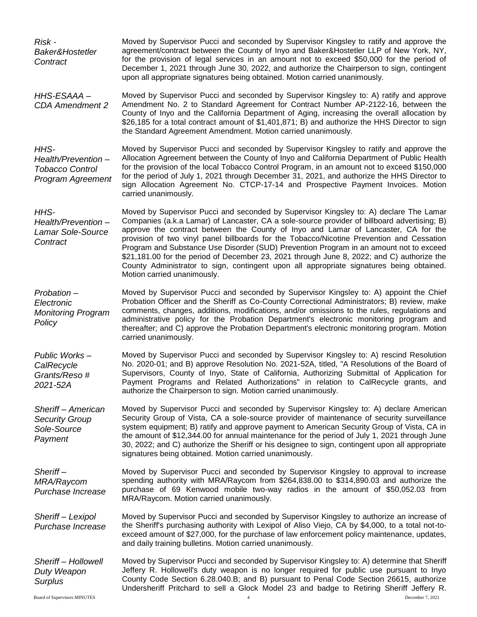*Risk - Baker&Hostetler Contract* Moved by Supervisor Pucci and seconded by Supervisor Kingsley to ratify and approve the agreement/contract between the County of Inyo and Baker&Hostetler LLP of New York, NY, for the provision of legal services in an amount not to exceed \$50,000 for the period of December 1, 2021 through June 30, 2022, and authorize the Chairperson to sign, contingent upon all appropriate signatures being obtained. Motion carried unanimously. *HHS-ESAAA – CDA Amendment 2* Moved by Supervisor Pucci and seconded by Supervisor Kingsley to: A) ratify and approve Amendment No. 2 to Standard Agreement for Contract Number AP-2122-16, between the County of Inyo and the California Department of Aging, increasing the overall allocation by \$26,185 for a total contract amount of \$1,401,871; B) and authorize the HHS Director to sign the Standard Agreement Amendment. Motion carried unanimously. *HHS-Health/Prevention – Tobacco Control Program Agreement* Moved by Supervisor Pucci and seconded by Supervisor Kingsley to ratify and approve the Allocation Agreement between the County of Inyo and California Department of Public Health for the provision of the local Tobacco Control Program, in an amount not to exceed \$150,000 for the period of July 1, 2021 through December 31, 2021, and authorize the HHS Director to sign Allocation Agreement No. CTCP-17-14 and Prospective Payment Invoices. Motion carried unanimously. *HHS-Health/Prevention – Lamar Sole-Source Contract* Moved by Supervisor Pucci and seconded by Supervisor Kingsley to: A) declare The Lamar Companies (a.k.a Lamar) of Lancaster, CA a sole-source provider of billboard advertising; B) approve the contract between the County of Inyo and Lamar of Lancaster, CA for the provision of two vinyl panel billboards for the Tobacco/Nicotine Prevention and Cessation Program and Substance Use Disorder (SUD) Prevention Program in an amount not to exceed \$21,181.00 for the period of December 23, 2021 through June 8, 2022; and C) authorize the County Administrator to sign, contingent upon all appropriate signatures being obtained. Motion carried unanimously. *Probation – Electronic Monitoring Program Policy* Moved by Supervisor Pucci and seconded by Supervisor Kingsley to: A) appoint the Chief Probation Officer and the Sheriff as Co-County Correctional Administrators; B) review, make comments, changes, additions, modifications, and/or omissions to the rules, regulations and administrative policy for the Probation Department's electronic monitoring program and thereafter; and C) approve the Probation Department's electronic monitoring program. Motion carried unanimously. *Public Works – CalRecycle Grants/Reso # 2021-52A* Moved by Supervisor Pucci and seconded by Supervisor Kingsley to: A) rescind Resolution No. 2020-01; and B) approve Resolution No. 2021-52A, titled, "A Resolutions of the Board of Supervisors, County of Inyo, State of California, Authorizing Submittal of Application for Payment Programs and Related Authorizations" in relation to CalRecycle grants, and authorize the Chairperson to sign. Motion carried unanimously. *Sheriff – American Security Group Sole-Source Payment* Moved by Supervisor Pucci and seconded by Supervisor Kingsley to: A) declare American Security Group of Vista, CA a sole-source provider of maintenance of security surveillance system equipment; B) ratify and approve payment to American Security Group of Vista, CA in the amount of \$12,344.00 for annual maintenance for the period of July 1, 2021 through June 30, 2022; and C) authorize the Sheriff or his designee to sign, contingent upon all appropriate signatures being obtained. Motion carried unanimously. *Sheriff – MRA/Raycom Purchase Increase* Moved by Supervisor Pucci and seconded by Supervisor Kingsley to approval to increase spending authority with MRA/Raycom from \$264,838.00 to \$314,890.03 and authorize the purchase of 69 Kenwood mobile two-way radios in the amount of \$50,052.03 from MRA/Raycom. Motion carried unanimously. *Sheriff – Lexipol Purchase Increase* Moved by Supervisor Pucci and seconded by Supervisor Kingsley to authorize an increase of the Sheriff's purchasing authority with Lexipol of Aliso Viejo, CA by \$4,000, to a total not-toexceed amount of \$27,000, for the purchase of law enforcement policy maintenance, updates, and daily training bulletins. Motion carried unanimously. *Sheriff – Hollowell Duty Weapon Surplus* Moved by Supervisor Pucci and seconded by Supervisor Kingsley to: A) determine that Sheriff Jeffery R. Hollowell's duty weapon is no longer required for public use pursuant to Inyo County Code Section 6.28.040.B; and B) pursuant to Penal Code Section 26615, authorize Undersheriff Pritchard to sell a Glock Model 23 and badge to Retiring Sheriff Jeffery R.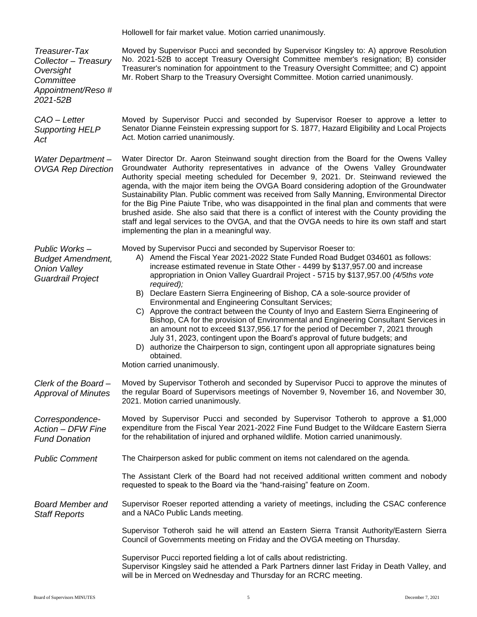Hollowell for fair market value. Motion carried unanimously.

| Treasurer-Tax<br>Collector - Treasury<br>Oversight<br>Committee<br>Appointment/Reso#<br>2021-52B | Moved by Supervisor Pucci and seconded by Supervisor Kingsley to: A) approve Resolution<br>No. 2021-52B to accept Treasury Oversight Committee member's resignation; B) consider<br>Treasurer's nomination for appointment to the Treasury Oversight Committee; and C) appoint<br>Mr. Robert Sharp to the Treasury Oversight Committee. Motion carried unanimously.                                                                                                                                                                                                                                                                                                                                                                                                                                                                                                                                                                                                          |
|--------------------------------------------------------------------------------------------------|------------------------------------------------------------------------------------------------------------------------------------------------------------------------------------------------------------------------------------------------------------------------------------------------------------------------------------------------------------------------------------------------------------------------------------------------------------------------------------------------------------------------------------------------------------------------------------------------------------------------------------------------------------------------------------------------------------------------------------------------------------------------------------------------------------------------------------------------------------------------------------------------------------------------------------------------------------------------------|
| CAO - Letter<br><b>Supporting HELP</b><br>Act                                                    | Moved by Supervisor Pucci and seconded by Supervisor Roeser to approve a letter to<br>Senator Dianne Feinstein expressing support for S. 1877, Hazard Eligibility and Local Projects<br>Act. Motion carried unanimously.                                                                                                                                                                                                                                                                                                                                                                                                                                                                                                                                                                                                                                                                                                                                                     |
| Water Department-<br><b>OVGA Rep Direction</b>                                                   | Water Director Dr. Aaron Steinwand sought direction from the Board for the Owens Valley<br>Groundwater Authority representatives in advance of the Owens Valley Groundwater<br>Authority special meeting scheduled for December 9, 2021. Dr. Steinwand reviewed the<br>agenda, with the major item being the OVGA Board considering adoption of the Groundwater<br>Sustainability Plan. Public comment was received from Sally Manning, Environmental Director<br>for the Big Pine Paiute Tribe, who was disappointed in the final plan and comments that were<br>brushed aside. She also said that there is a conflict of interest with the County providing the<br>staff and legal services to the OVGA, and that the OVGA needs to hire its own staff and start<br>implementing the plan in a meaningful way.                                                                                                                                                             |
| Public Works-<br><b>Budget Amendment,</b><br><b>Onion Valley</b><br><b>Guardrail Project</b>     | Moved by Supervisor Pucci and seconded by Supervisor Roeser to:<br>A) Amend the Fiscal Year 2021-2022 State Funded Road Budget 034601 as follows:<br>increase estimated revenue in State Other - 4499 by \$137,957.00 and increase<br>appropriation in Onion Valley Guardrail Project - 5715 by \$137,957.00 (4/5ths vote<br>required);<br>B) Declare Eastern Sierra Engineering of Bishop, CA a sole-source provider of<br><b>Environmental and Engineering Consultant Services;</b><br>C) Approve the contract between the County of Inyo and Eastern Sierra Engineering of<br>Bishop, CA for the provision of Environmental and Engineering Consultant Services in<br>an amount not to exceed \$137,956.17 for the period of December 7, 2021 through<br>July 31, 2023, contingent upon the Board's approval of future budgets; and<br>D) authorize the Chairperson to sign, contingent upon all appropriate signatures being<br>obtained.<br>Motion carried unanimously. |
| Clerk of the Board-<br><b>Approval of Minutes</b>                                                | Moved by Supervisor Totheroh and seconded by Supervisor Pucci to approve the minutes of<br>the regular Board of Supervisors meetings of November 9, November 16, and November 30,<br>2021. Motion carried unanimously.                                                                                                                                                                                                                                                                                                                                                                                                                                                                                                                                                                                                                                                                                                                                                       |
| Correspondence-<br>Action - DFW Fine<br><b>Fund Donation</b>                                     | Moved by Supervisor Pucci and seconded by Supervisor Totheroh to approve a \$1,000<br>expenditure from the Fiscal Year 2021-2022 Fine Fund Budget to the Wildcare Eastern Sierra<br>for the rehabilitation of injured and orphaned wildlife. Motion carried unanimously.                                                                                                                                                                                                                                                                                                                                                                                                                                                                                                                                                                                                                                                                                                     |
| <b>Public Comment</b>                                                                            | The Chairperson asked for public comment on items not calendared on the agenda.                                                                                                                                                                                                                                                                                                                                                                                                                                                                                                                                                                                                                                                                                                                                                                                                                                                                                              |
|                                                                                                  | The Assistant Clerk of the Board had not received additional written comment and nobody<br>requested to speak to the Board via the "hand-raising" feature on Zoom.                                                                                                                                                                                                                                                                                                                                                                                                                                                                                                                                                                                                                                                                                                                                                                                                           |
| <b>Board Member and</b><br><b>Staff Reports</b>                                                  | Supervisor Roeser reported attending a variety of meetings, including the CSAC conference<br>and a NACo Public Lands meeting.                                                                                                                                                                                                                                                                                                                                                                                                                                                                                                                                                                                                                                                                                                                                                                                                                                                |
|                                                                                                  | Supervisor Totheroh said he will attend an Eastern Sierra Transit Authority/Eastern Sierra<br>Council of Governments meeting on Friday and the OVGA meeting on Thursday.                                                                                                                                                                                                                                                                                                                                                                                                                                                                                                                                                                                                                                                                                                                                                                                                     |
|                                                                                                  | Supervisor Pucci reported fielding a lot of calls about redistricting.<br>Supervisor Kingsley said he attended a Park Partners dinner last Friday in Death Valley, and<br>will be in Merced on Wednesday and Thursday for an RCRC meeting.                                                                                                                                                                                                                                                                                                                                                                                                                                                                                                                                                                                                                                                                                                                                   |